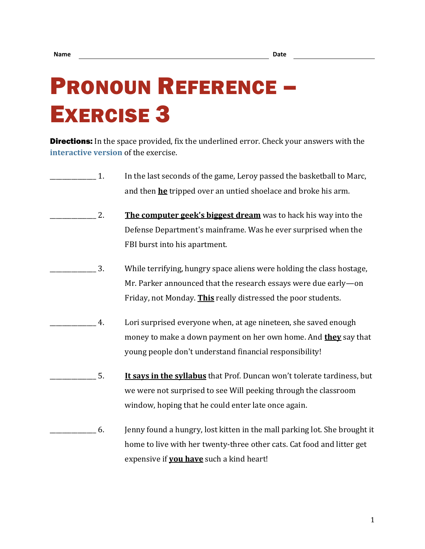## PRONOUN REFERENCE – EXERCISE 3

**Directions:** In the space provided, fix the underlined error. Check your answers with the **[interactive version](https://chompchomp.com/hotpotatoes/proref03.htm)** of the exercise.

- 1. In the last seconds of the game, Leroy passed the basketball to Marc, and then **he** tripped over an untied shoelace and broke his arm.
- 2. **The computer geek's biggest dream** was to hack his way into the Defense Department's mainframe. Was he ever surprised when the FBI burst into his apartment.
- \_\_\_\_\_\_\_\_\_\_\_\_\_\_\_ 3. While terrifying, hungry space aliens were holding the class hostage, Mr. Parker announced that the research essays were due early—on Friday, not Monday. **This** really distressed the poor students.
- \_\_\_\_\_\_\_\_\_\_\_\_\_\_\_ 4. Lori surprised everyone when, at age nineteen, she saved enough money to make a down payment on her own home. And **they** say that young people don't understand financial responsibility!
- \_\_\_\_\_\_\_\_\_\_\_\_\_\_\_ 5. **It says in the syllabus** that Prof. Duncan won't tolerate tardiness, but we were not surprised to see Will peeking through the classroom window, hoping that he could enter late once again.
- \_\_\_\_\_\_\_\_\_\_\_\_\_\_\_ 6. Jenny found a hungry, lost kitten in the mall parking lot. She brought it home to live with her twenty-three other cats. Cat food and litter get expensive if **you have** such a kind heart!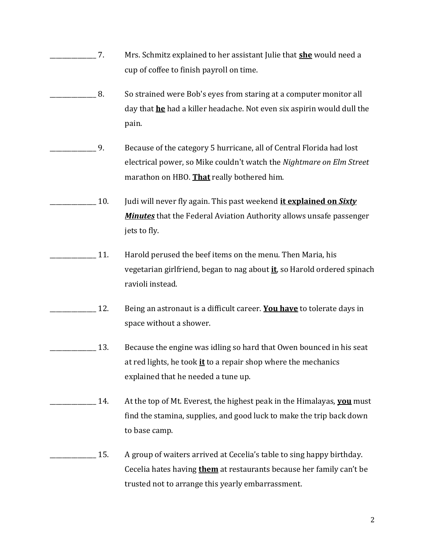- \_\_\_\_\_\_\_\_\_\_\_\_\_\_\_ 7. Mrs. Schmitz explained to her assistant Julie that **she** would need a cup of coffee to finish payroll on time.
- \_\_\_\_\_\_\_\_\_\_\_\_\_\_\_ 8. So strained were Bob's eyes from staring at a computer monitor all day that **he** had a killer headache. Not even six aspirin would dull the pain.
- \_\_\_\_\_\_\_\_\_\_\_\_\_\_\_ 9. Because of the category 5 hurricane, all of Central Florida had lost electrical power, so Mike couldn't watch the *Nightmare on Elm Street* marathon on HBO. **That** really bothered him.
	- \_\_\_\_\_\_\_\_\_\_\_\_\_\_\_ 10. Judi will never fly again. This past weekend **it explained on** *Sixty Minutes* that the Federal Aviation Authority allows unsafe passenger jets to fly.
- \_\_\_\_\_\_\_\_\_\_\_\_\_\_\_ 11. Harold perused the beef items on the menu. Then Maria, his vegetarian girlfriend, began to nag about **it**, so Harold ordered spinach ravioli instead.
- \_\_\_\_\_\_\_\_\_\_\_\_\_\_\_ 12. Being an astronaut is a difficult career. **You have** to tolerate days in space without a shower.
- 13. Because the engine was idling so hard that Owen bounced in his seat at red lights, he took **it** to a repair shop where the mechanics explained that he needed a tune up.
- \_\_\_\_\_\_\_\_\_\_\_\_\_\_\_ 14. At the top of Mt. Everest, the highest peak in the Himalayas, **you** must find the stamina, supplies, and good luck to make the trip back down to base camp.
- \_\_\_\_\_\_\_\_\_\_\_\_\_\_\_ 15. A group of waiters arrived at Cecelia's table to sing happy birthday. Cecelia hates having **them** at restaurants because her family can't be trusted not to arrange this yearly embarrassment.